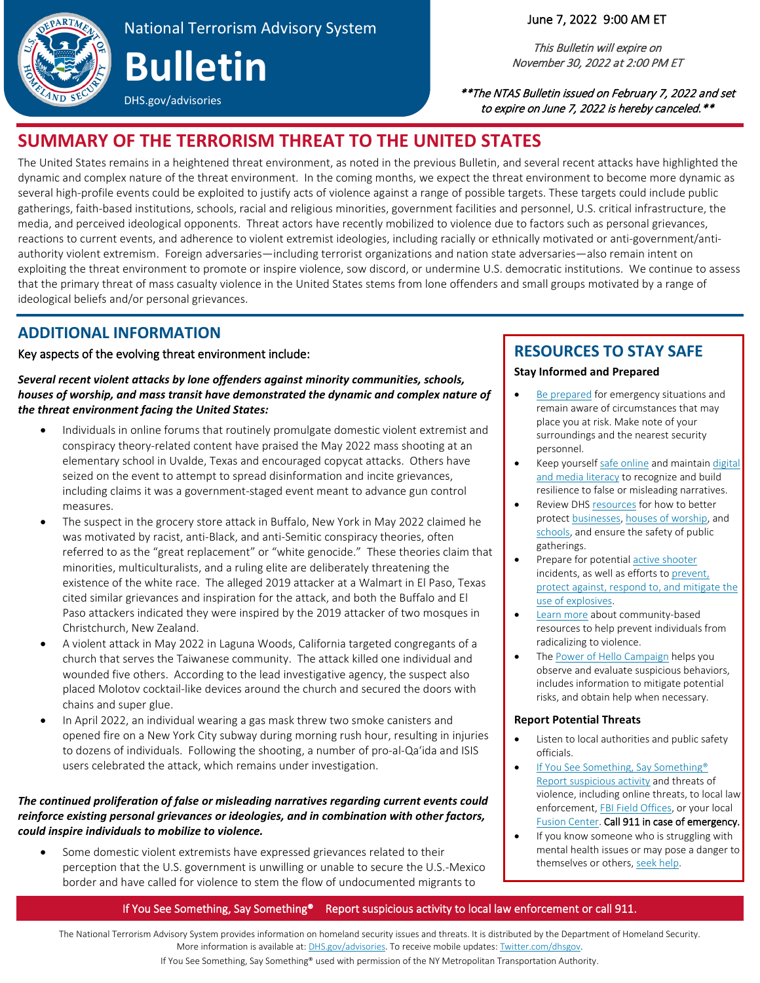

# National Terrorism Advisory System **Bulletin**

### June 7, 2022 9:00 AM ET

This Bulletin will expire on November 30, 2022 at 2:00 PM ET

 \*\*The NTAS Bulletin issued on February 7, 2022 and set to expire on June 7, 2022 is hereby canceled.\*\*

## **SUMMARY OF THE TERRORISM THREAT TO THE UNITED STATES**

 The United States remains in a heightened threat environment, as noted in the previous Bulletin, and several recent attacks have highlighted the dynamic and complex nature of the threat environment. In the coming months, we expect the threat environment to become more dynamic as several high-profile events could be exploited to justify acts of violence against a range of possible targets. These targets could include public media, and perceived ideological opponents. Threat actors have recently mobilized to violence due to factors such as personal grievances, ideological beliefs and/or personal grievances. gatherings, faith-based institutions, schools, racial and religious minorities, government facilities and personnel, U.S. critical infrastructure, the reactions to current events, and adherence to violent extremist ideologies, including racially or ethnically motivated or anti-government/antiauthority violent extremism. Foreign adversaries—including terrorist organizations and nation state adversaries—also remain intent on exploiting the threat environment to promote or inspire violence, sow discord, or undermine U.S. democratic institutions. We continue to assess that the primary threat of mass casualty violence in the United States stems from lone offenders and small groups motivated by a range of

## **ADDITIONAL INFORMATION**

### Key aspects of the evolving threat environment include:

DHS.gov/advisories

 *houses of worship, and mass transit have demonstrated the dynamic and complex nature of Several recent violent attacks by lone offenders against minority communities, schools, the threat environment facing the United States:* 

- conspiracy theory-related content have praised the May 2022 mass shooting at an seized on the event to attempt to spread disinformation and incite grievances, including claims it was a government-staged event meant to advance gun control measures. • Individuals in online forums that routinely promulgate domestic violent extremist and elementary school in Uvalde, Texas and encouraged copycat attacks. Others have
- referred to as the "great replacement" or "white genocide." These theories claim that existence of the white race. The alleged 2019 attacker at a Walmart in El Paso, Texas Paso attackers indicated they were inspired by the 2019 attacker of two mosques in The suspect in the grocery store attack in Buffalo, New York in May 2022 claimed he was motivated by racist, anti-Black, and anti-Semitic conspiracy theories, often minorities, multiculturalists, and a ruling elite are deliberately threatening the cited similar grievances and inspiration for the attack, and both the Buffalo and El Christchurch, New Zealand.
- • A violent attack in May 2022 in Laguna Woods, California targeted congregants of a church that serves the Taiwanese community. The attack killed one individual and wounded five others. According to the lead investigative agency, the suspect also placed Molotov cocktail-like devices around the church and secured the doors with chains and super glue.
- • In April 2022, an individual wearing a gas mask threw two smoke canisters and opened fire on a New York City subway during morning rush hour, resulting in injuries users celebrated the attack, which remains under investigation. to dozens of individuals. Following the shooting, a number of pro-al-Qa'ida and ISIS

### *The continued proliferation of false or misleading narratives regarding current events could reinforce existing personal grievances or ideologies, and in combination with other factors, could inspire individuals to mobilize to violence.*

 border and have called for violence to stem the flow of undocumented migrants to Some domestic violent extremists have expressed grievances related to their perception that the U.S. government is unwilling or unable to secure the U.S.-Mexico

## **RESOURCES TO STAY SAFE**

### **Stay Informed and Prepared**

- [Be prepared](https://www.ready.gov/) for emergency situations and remain aware of circumstances that may place you at risk. Make note of your surroundings and the nearest security personnel.
- Keep yoursel[f safe online](https://www.cisa.gov/4-things-you-can-do-keep-yourself-cyber-safe) and maintain digital [and media literacy](https://www.dhs.gov/sites/default/files/publications/digital_media_literacy_1.pdf) to recognize and build resilience to false or misleading narratives.
- Review DH[S resources f](https://www.cisa.gov/securing-public-gatherings)or how to better [schools,](https://www.cisa.gov/schools) and ensure the safety of public protec[t businesses,](https://www.cisa.gov/businesses-and-critical-infrastructure) [houses of worship,](https://www.cisa.gov/faith-based-organizations-houses-worship) and gatherings.
- Prepare for potential active shooter [use of explosives.](https://www.cisa.gov/office-bombing-prevention-obp) incidents, as well as efforts t[o prevent,](https://www.cisa.gov/office-bombing-prevention-obp)  [protect against, respond to, and mitigate the](https://www.cisa.gov/office-bombing-prevention-obp)
- [Learn more a](https://www.dhs.gov/CP3)bout community-based resources to help prevent individuals from radicalizing to violence.
- The [Power of Hello Campaign](https://www.cisa.gov/employee-vigilance-power-hello) helps you observe and evaluate suspicious behaviors, includes information to mitigate potential risks, and obtain help when necessary.

### **Report Potential Threats**

- Listen to local authorities and public safety officials.
- If You See Something, Say Something<sup>®</sup> [Report suspicious activity](https://www.dhs.gov/publication/suspicious-activity-reporting-indicators-and-behaviors) and threats of violence, including online threats, to local law enforcement[, FBI Field Offices,](https://www.fbi.gov/contact-us/field-offices) or your local [Fusion Center.](https://www.dhs.gov/fusion-center-locations-and-contact-information) Call 911 in case of emergency.
- If you know someone who is struggling with mental health issues or may pose a danger to themselves or others, [seek help.](https://www.samhsa.gov/)

### – If You See Something, Say Something® Report suspicious activity to local law enforcement or call 911.

The National Terrorism Advisory System provides information on homeland security issues and threats. It is distributed by the Department of Homeland Security. More information is available at[: DHS.gov/advisories.](http://www.dhs.gov/advisories) To receive mobile updates: Twitter.com/dhsgov.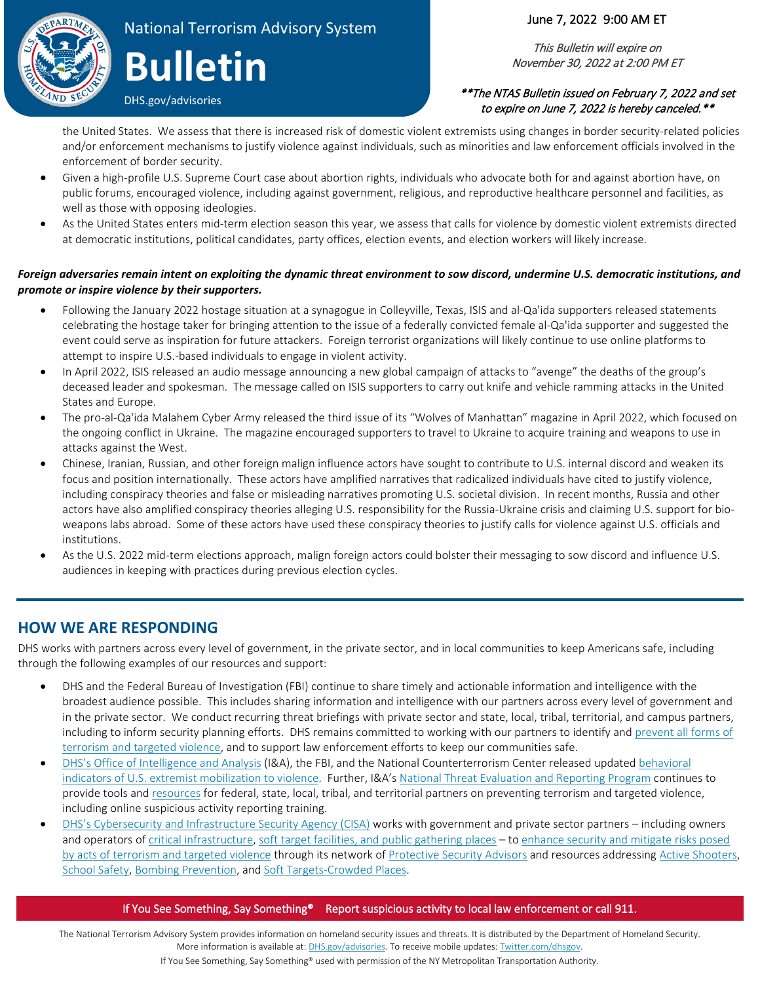

# National Terrorism Advisory System **Bulletin**

DHS.gov/advisories

### June 7, 2022 9:00 AM ET

This Bulletin will expire on November 30, 2022 at 2:00 PM ET

### \*\*The NTAS Bulletin issued on February 7, 2022 and set to expire on June 7, 2022 is hereby canceled.\*\*

 the United States. We assess that there is increased risk of domestic violent extremists using changes in border security-related policies and/or enforcement mechanisms to justify violence against individuals, such as minorities and law enforcement officials involved in the enforcement of border security.

- • Given a high-profile U.S. Supreme Court case about abortion rights, individuals who advocate both for and against abortion have, on public forums, encouraged violence, including against government, religious, and reproductive healthcare personnel and facilities, as well as those with opposing ideologies.
- • As the United States enters mid-term election season this year, we assess that calls for violence by domestic violent extremists directed at democratic institutions, political candidates, party offices, election events, and election workers will likely increase.

### *Foreign adversaries remain intent on exploiting the dynamic threat environment to sow discord, undermine U.S. democratic institutions, and promote or inspire violence by their supporters.*

- celebrating the hostage taker for bringing attention to the issue of a federally convicted female al-Qa'ida supporter and suggested the event could serve as inspiration for future attackers. Foreign terrorist organizations will likely continue to use online platforms to • Following the January 2022 hostage situation at a synagogue in Colleyville, Texas, ISIS and al-Qa'ida supporters released statements attempt to inspire U.S.-based individuals to engage in violent activity.
- deceased leader and spokesman. The message called on ISIS supporters to carry out knife and vehicle ramming attacks in the United • In April 2022, ISIS released an audio message announcing a new global campaign of attacks to "avenge" the deaths of the group's States and Europe.
- • The pro-al-Qa'ida Malahem Cyber Army released the third issue of its "Wolves of Manhattan" magazine in April 2022, which focused on the ongoing conflict in Ukraine. The magazine encouraged supporters to travel to Ukraine to acquire training and weapons to use in attacks against the West.
- focus and position internationally. These actors have amplified narratives that radicalized individuals have cited to justify violence, including conspiracy theories and false or misleading narratives promoting U.S. societal division. In recent months, Russia and other actors have also amplified conspiracy theories alleging U.S. responsibility for the Russia-Ukraine crisis and claiming U.S. support for bio-• Chinese, Iranian, Russian, and other foreign malign influence actors have sought to contribute to U.S. internal discord and weaken its weapons labs abroad. Some of these actors have used these conspiracy theories to justify calls for violence against U.S. officials and institutions.
- As the U.S. 2022 mid-term elections approach, malign foreign actors could bolster their messaging to sow discord and influence U.S. audiences in keeping with practices during previous election cycles.

### **HOW WE ARE RESPONDING**

DHS works with partners across every level of government, in the private sector, and in local communities to keep Americans safe, including through the following examples of our resources and support:

- in the private sector. We conduct recurring threat briefings with private sector and state, local, tribal, territorial, and campus partners, [terrorism and targeted violence,](https://www.dhs.gov/CP3) and to support law enforcement efforts to keep our communities safe. • DHS and the Federal Bureau of Investigation (FBI) continue to share timely and actionable information and intelligence with the broadest audience possible. This includes sharing information and intelligence with our partners across every level of government and including to inform security planning efforts. DHS remains committed to working with our partners to identify and [prevent all forms of](https://www.dhs.gov/CP3)
- [DHS's Office of Intelligence and Analysis \(](https://www.dhs.gov/office-intelligence-and-analysis)I&A), the FBI, and the National Counterterrorism Center released updated behavioral [indicators of U.S. extremist mobilization to violence.](https://www.dni.gov/index.php/nctc-newsroom/nctc-resources/item/2272-u-s-violent-extremist-mobilization-indicators-2021) Further, I&A's [National Threat Evaluation and Reporting Program c](https://www.dhs.gov/national-threat-evaluation-and-reporting-program)ontinues to provide tools an[d resources](https://www.dhs.gov/publication/behavioral-approach-violence-prevention) for federal, state, local, tribal, and territorial partners on preventing terrorism and targeted violence, including online suspicious activity reporting training.
- [DHS's Cybersecurity and Infrastructure Security Agency \(CISA\)](https://www.cisa.gov/) works with government and private sector partners including owners and operators of [critical infrastructure,](https://www.cisa.gov/critical-infrastructure-sectors) [soft target facilities, and public gathering places –](https://www.cisa.gov/securing-public-gatherings) to enhance security and mitigate risks posed [School Safety,](https://www.cisa.gov/schools) [Bombing Prevention,](https://www.cisa.gov/office-bombing-prevention-obp) and [Soft Targets-Crowded Places.](https://www.cisa.gov/securing-public-gatherings) [by acts of terrorism and targeted violence t](http://www.cisa.gov/hometown-security)hrough its network of [Protective Security Advisors](https://www.cisa.gov/protective-security-advisors) and resources addressin[g Active Shooters](https://www.cisa.gov/active-shooter-preparedness),

### – If You See Something, Say Something® Report suspicious activity to local law enforcement or call 911.

The National Terrorism Advisory System provides information on homeland security issues and threats. It is distributed by the Department of Homeland Security. More information is available at[: DHS.gov/advisories.](http://www.dhs.gov/advisories) To receive mobile updates: Twitter.com/dhsgov.